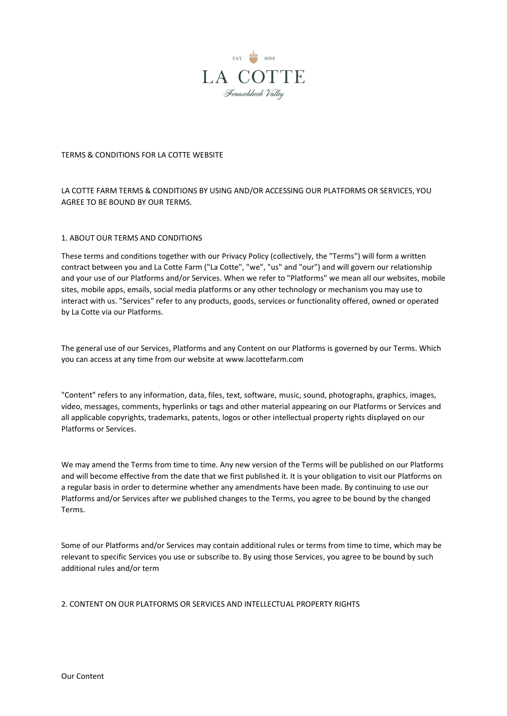

# TERMS & CONDITIONS FOR LA COTTE WEBSITE

LA COTTE FARM TERMS & CONDITIONS BY USING AND/OR ACCESSING OUR PLATFORMS OR SERVICES, YOU AGREE TO BE BOUND BY OUR TERMS.

### 1. ABOUT OUR TERMS AND CONDITIONS

These terms and conditions together with our Privacy Policy (collectively, the "Terms") will form a written contract between you and La Cotte Farm ("La Cotte", "we", "us" and "our") and will govern our relationship and your use of our Platforms and/or Services. When we refer to "Platforms" we mean all our websites, mobile sites, mobile apps, emails, social media platforms or any other technology or mechanism you may use to interact with us. "Services" refer to any products, goods, services or functionality offered, owned or operated by La Cotte via our Platforms.

The general use of our Services, Platforms and any Content on our Platforms is governed by our Terms. Which you can access at any time from our website at www.lacottefarm.com

"Content" refers to any information, data, files, text, software, music, sound, photographs, graphics, images, video, messages, comments, hyperlinks or tags and other material appearing on our Platforms or Services and all applicable copyrights, trademarks, patents, logos or other intellectual property rights displayed on our Platforms or Services.

We may amend the Terms from time to time. Any new version of the Terms will be published on our Platforms and will become effective from the date that we first published it. It is your obligation to visit our Platforms on a regular basis in order to determine whether any amendments have been made. By continuing to use our Platforms and/or Services after we published changes to the Terms, you agree to be bound by the changed Terms.

Some of our Platforms and/or Services may contain additional rules or terms from time to time, which may be relevant to specific Services you use or subscribe to. By using those Services, you agree to be bound by such additional rules and/or term

2. CONTENT ON OUR PLATFORMS OR SERVICES AND INTELLECTUAL PROPERTY RIGHTS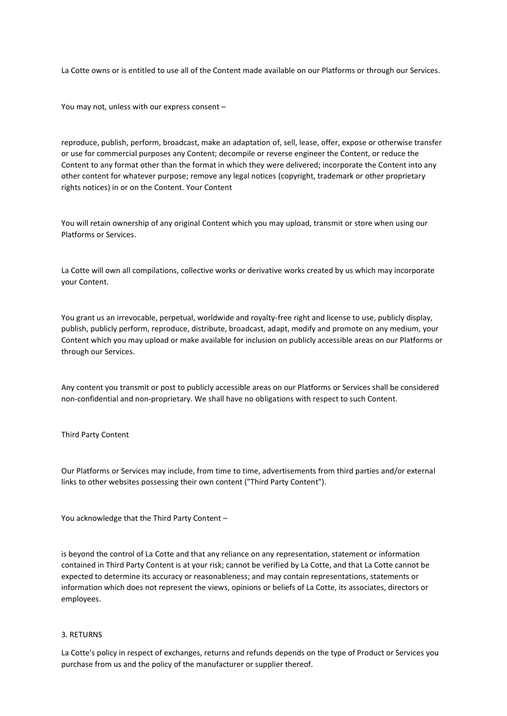La Cotte owns or is entitled to use all of the Content made available on our Platforms or through our Services.

You may not, unless with our express consent –

reproduce, publish, perform, broadcast, make an adaptation of, sell, lease, offer, expose or otherwise transfer or use for commercial purposes any Content; decompile or reverse engineer the Content, or reduce the Content to any format other than the format in which they were delivered; incorporate the Content into any other content for whatever purpose; remove any legal notices (copyright, trademark or other proprietary rights notices) in or on the Content. Your Content

You will retain ownership of any original Content which you may upload, transmit or store when using our Platforms or Services.

La Cotte will own all compilations, collective works or derivative works created by us which may incorporate your Content.

You grant us an irrevocable, perpetual, worldwide and royalty-free right and license to use, publicly display, publish, publicly perform, reproduce, distribute, broadcast, adapt, modify and promote on any medium, your Content which you may upload or make available for inclusion on publicly accessible areas on our Platforms or through our Services.

Any content you transmit or post to publicly accessible areas on our Platforms or Services shall be considered non-confidential and non-proprietary. We shall have no obligations with respect to such Content.

Third Party Content

Our Platforms or Services may include, from time to time, advertisements from third parties and/or external links to other websites possessing their own content ("Third Party Content").

You acknowledge that the Third Party Content –

is beyond the control of La Cotte and that any reliance on any representation, statement or information contained in Third Party Content is at your risk; cannot be verified by La Cotte, and that La Cotte cannot be expected to determine its accuracy or reasonableness; and may contain representations, statements or information which does not represent the views, opinions or beliefs of La Cotte, its associates, directors or employees.

#### 3. RETURNS

La Cotte's policy in respect of exchanges, returns and refunds depends on the type of Product or Services you purchase from us and the policy of the manufacturer or supplier thereof.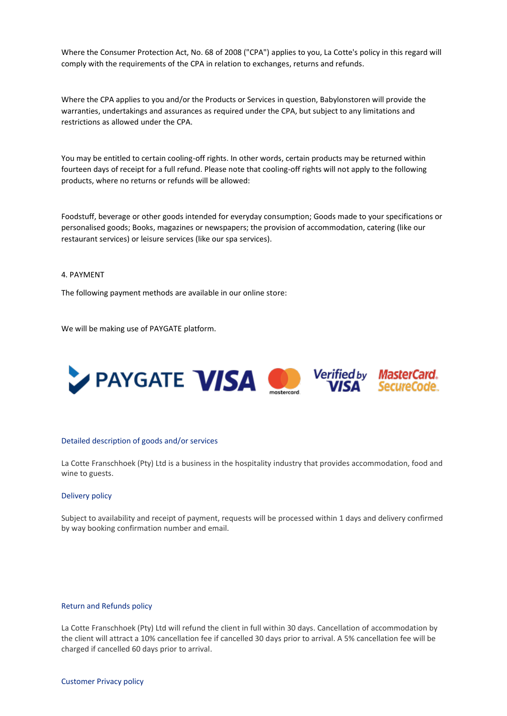Where the Consumer Protection Act, No. 68 of 2008 ("CPA") applies to you, La Cotte's policy in this regard will comply with the requirements of the CPA in relation to exchanges, returns and refunds.

Where the CPA applies to you and/or the Products or Services in question, Babylonstoren will provide the warranties, undertakings and assurances as required under the CPA, but subject to any limitations and restrictions as allowed under the CPA.

You may be entitled to certain cooling-off rights. In other words, certain products may be returned within fourteen days of receipt for a full refund. Please note that cooling-off rights will not apply to the following products, where no returns or refunds will be allowed:

Foodstuff, beverage or other goods intended for everyday consumption; Goods made to your specifications or personalised goods; Books, magazines or newspapers; the provision of accommodation, catering (like our restaurant services) or leisure services (like our spa services).

# 4. PAYMENT

The following payment methods are available in our online store:

We will be making use of PAYGATE platform.



#### Detailed description of goods and/or services

La Cotte Franschhoek (Pty) Ltd is a business in the hospitality industry that provides accommodation, food and wine to guests.

### Delivery policy

Subject to availability and receipt of payment, requests will be processed within 1 days and delivery confirmed by way booking confirmation number and email.

#### Return and Refunds policy

La Cotte Franschhoek (Pty) Ltd will refund the client in full within 30 days. Cancellation of accommodation by the client will attract a 10% cancellation fee if cancelled 30 days prior to arrival. A 5% cancellation fee will be charged if cancelled 60 days prior to arrival.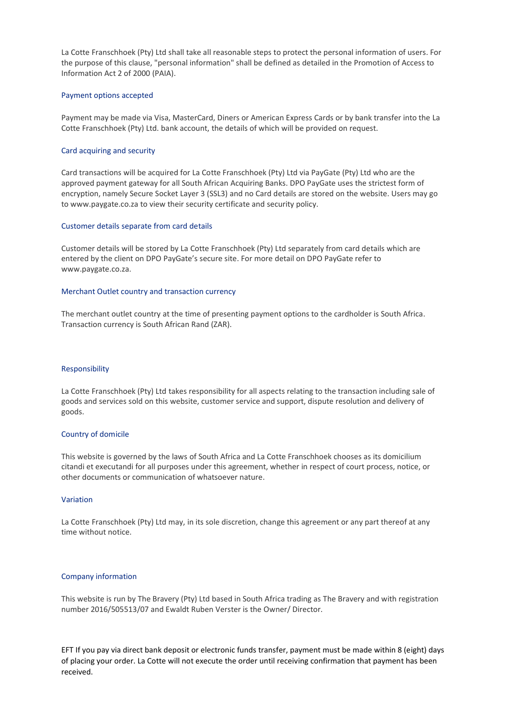La Cotte Franschhoek (Pty) Ltd shall take all reasonable steps to protect the personal information of users. For the purpose of this clause, "personal information" shall be defined as detailed in the Promotion of Access to Information Act 2 of 2000 (PAIA).

### Payment options accepted

Payment may be made via Visa, MasterCard, Diners or American Express Cards or by bank transfer into the La Cotte Franschhoek (Pty) Ltd. bank account, the details of which will be provided on request.

# Card acquiring and security

Card transactions will be acquired for La Cotte Franschhoek (Pty) Ltd via PayGate (Pty) Ltd who are the approved payment gateway for all South African Acquiring Banks. DPO PayGate uses the strictest form of encryption, namely Secure Socket Layer 3 (SSL3) and no Card details are stored on the website. Users may go to www.paygate.co.za to view their security certificate and security policy.

# Customer details separate from card details

Customer details will be stored by La Cotte Franschhoek (Pty) Ltd separately from card details which are entered by the client on DPO PayGate's secure site. For more detail on DPO PayGate refer to www.paygate.co.za.

### Merchant Outlet country and transaction currency

The merchant outlet country at the time of presenting payment options to the cardholder is South Africa. Transaction currency is South African Rand (ZAR).

### Responsibility

La Cotte Franschhoek (Pty) Ltd takes responsibility for all aspects relating to the transaction including sale of goods and services sold on this website, customer service and support, dispute resolution and delivery of goods.

# Country of domicile

This website is governed by the laws of South Africa and La Cotte Franschhoek chooses as its domicilium citandi et executandi for all purposes under this agreement, whether in respect of court process, notice, or other documents or communication of whatsoever nature.

# Variation

La Cotte Franschhoek (Pty) Ltd may, in its sole discretion, change this agreement or any part thereof at any time without notice.

# Company information

This website is run by The Bravery (Pty) Ltd based in South Africa trading as The Bravery and with registration number 2016/505513/07 and Ewaldt Ruben Verster is the Owner/ Director.

EFT If you pay via direct bank deposit or electronic funds transfer, payment must be made within 8 (eight) days of placing your order. La Cotte will not execute the order until receiving confirmation that payment has been received.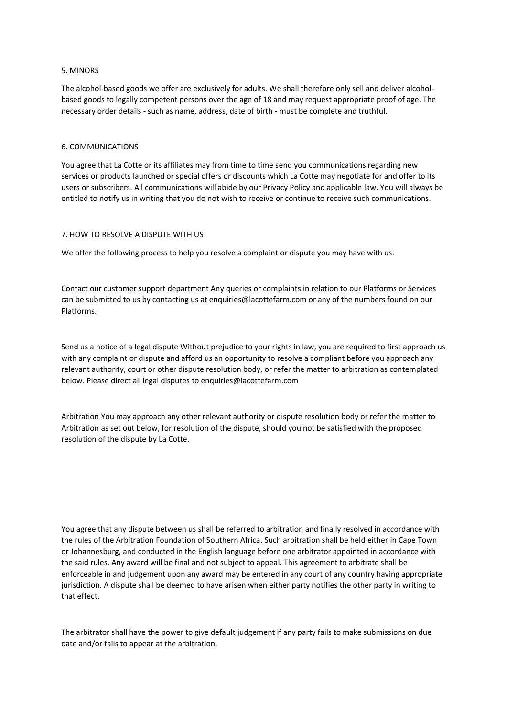# 5. MINORS

The alcohol-based goods we offer are exclusively for adults. We shall therefore only sell and deliver alcoholbased goods to legally competent persons over the age of 18 and may request appropriate proof of age. The necessary order details - such as name, address, date of birth - must be complete and truthful.

# 6. COMMUNICATIONS

You agree that La Cotte or its affiliates may from time to time send you communications regarding new services or products launched or special offers or discounts which La Cotte may negotiate for and offer to its users or subscribers. All communications will abide by our Privacy Policy and applicable law. You will always be entitled to notify us in writing that you do not wish to receive or continue to receive such communications.

# 7. HOW TO RESOLVE A DISPUTE WITH US

We offer the following process to help you resolve a complaint or dispute you may have with us.

Contact our customer support department Any queries or complaints in relation to our Platforms or Services can be submitted to us by contacting us at enquiries@lacottefarm.com or any of the numbers found on our Platforms.

Send us a notice of a legal dispute Without prejudice to your rights in law, you are required to first approach us with any complaint or dispute and afford us an opportunity to resolve a compliant before you approach any relevant authority, court or other dispute resolution body, or refer the matter to arbitration as contemplated below. Please direct all legal disputes to enquiries@lacottefarm.com

Arbitration You may approach any other relevant authority or dispute resolution body or refer the matter to Arbitration as set out below, for resolution of the dispute, should you not be satisfied with the proposed resolution of the dispute by La Cotte.

You agree that any dispute between us shall be referred to arbitration and finally resolved in accordance with the rules of the Arbitration Foundation of Southern Africa. Such arbitration shall be held either in Cape Town or Johannesburg, and conducted in the English language before one arbitrator appointed in accordance with the said rules. Any award will be final and not subject to appeal. This agreement to arbitrate shall be enforceable in and judgement upon any award may be entered in any court of any country having appropriate jurisdiction. A dispute shall be deemed to have arisen when either party notifies the other party in writing to that effect.

The arbitrator shall have the power to give default judgement if any party fails to make submissions on due date and/or fails to appear at the arbitration.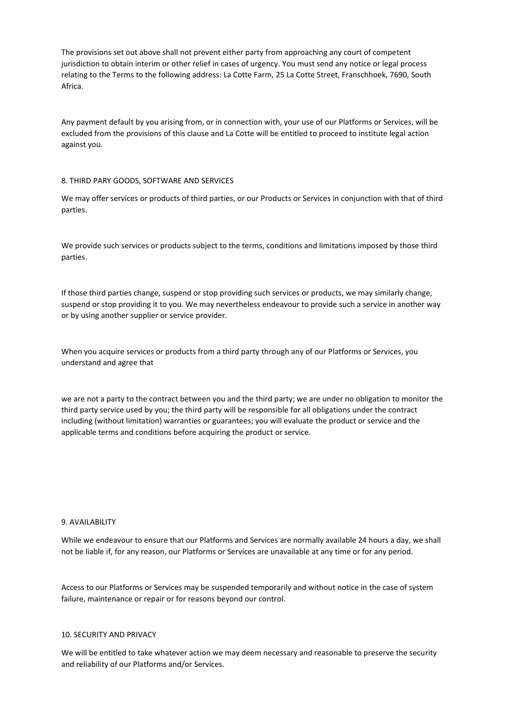The provisions set out above shall not prevent either party from approaching any court of competent jurisdiction to obtain interim or other relief in cases of urgency. You must send any notice or legal process relating to the Terms to the following address: La Cotte Farm, 25 La Cotte Street, Franschhoek, 7690, South Africa.

Any payment default by you arising from, or in connection with, your use of our Platforms or Services, will be excluded from the provisions of this clause and La Cotte will be entitled to proceed to institute legal action against you.

# 8. THIRD PARY GOODS, SOFTWARE AND SERVICES

We may offer services or products of third parties, or our Products or Services in conjunction with that of third parties.

We provide such services or products subject to the terms, conditions and limitations imposed by those third parties.

If those third parties change, suspend or stop providing such services or products, we may similarly change, suspend or stop providing it to you. We may nevertheless endeavour to provide such a service in another way or by using another supplier or service provider.

When you acquire services or products from a third party through any of our Platforms or Services, you understand and agree that

we are not a party to the contract between you and the third party; we are under no obligation to monitor the third party service used by you; the third party will be responsible for all obligations under the contract including (without limitation) warranties or guarantees; you will evaluate the product or service and the applicable terms and conditions before acquiring the product or service.

### 9. AVAILABILITY

While we endeavour to ensure that our Platforms and Services are normally available 24 hours a day, we shall not be liable if, for any reason, our Platforms or Services are unavailable at any time or for any period.

Access to our Platforms or Services may be suspended temporarily and without notice in the case of system failure, maintenance or repair or for reasons beyond our control.

### 10. SECURITY AND PRIVACY

We will be entitled to take whatever action we may deem necessary and reasonable to preserve the security and reliability of our Platforms and/or Services.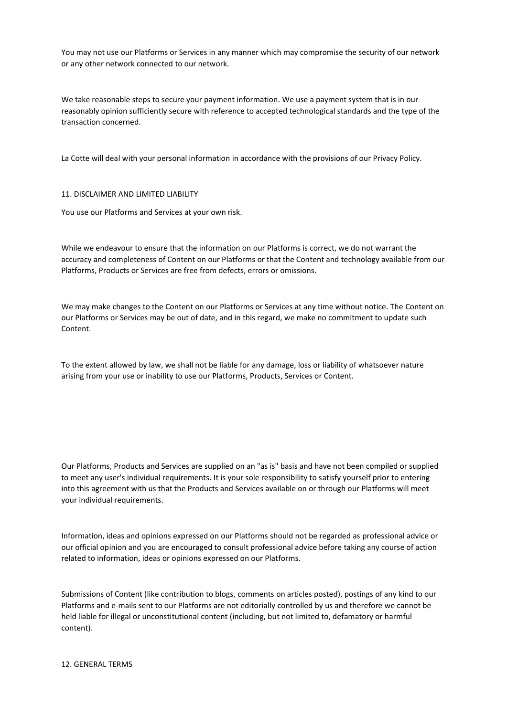You may not use our Platforms or Services in any manner which may compromise the security of our network or any other network connected to our network.

We take reasonable steps to secure your payment information. We use a payment system that is in our reasonably opinion sufficiently secure with reference to accepted technological standards and the type of the transaction concerned.

La Cotte will deal with your personal information in accordance with the provisions of our Privacy Policy.

### 11. DISCLAIMER AND LIMITED LIABILITY

You use our Platforms and Services at your own risk.

While we endeavour to ensure that the information on our Platforms is correct, we do not warrant the accuracy and completeness of Content on our Platforms or that the Content and technology available from our Platforms, Products or Services are free from defects, errors or omissions.

We may make changes to the Content on our Platforms or Services at any time without notice. The Content on our Platforms or Services may be out of date, and in this regard, we make no commitment to update such Content.

To the extent allowed by law, we shall not be liable for any damage, loss or liability of whatsoever nature arising from your use or inability to use our Platforms, Products, Services or Content.

Our Platforms, Products and Services are supplied on an "as is" basis and have not been compiled or supplied to meet any user's individual requirements. It is your sole responsibility to satisfy yourself prior to entering into this agreement with us that the Products and Services available on or through our Platforms will meet your individual requirements.

Information, ideas and opinions expressed on our Platforms should not be regarded as professional advice or our official opinion and you are encouraged to consult professional advice before taking any course of action related to information, ideas or opinions expressed on our Platforms.

Submissions of Content (like contribution to blogs, comments on articles posted), postings of any kind to our Platforms and e-mails sent to our Platforms are not editorially controlled by us and therefore we cannot be held liable for illegal or unconstitutional content (including, but not limited to, defamatory or harmful content).